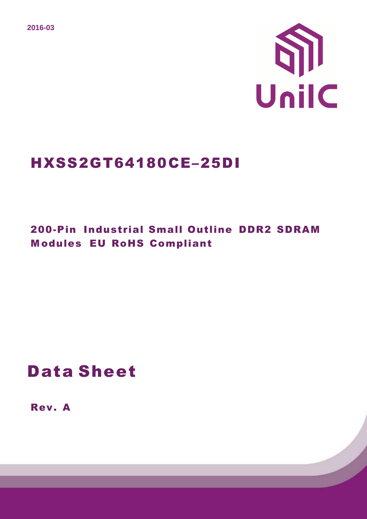**2016-03** 



## HXSS2GT64180CE–25DI

## 200-Pin Industrial Small Outline DDR2 SDRAM M odules EU RoHS Compliant

## Data Sheet

Rev. A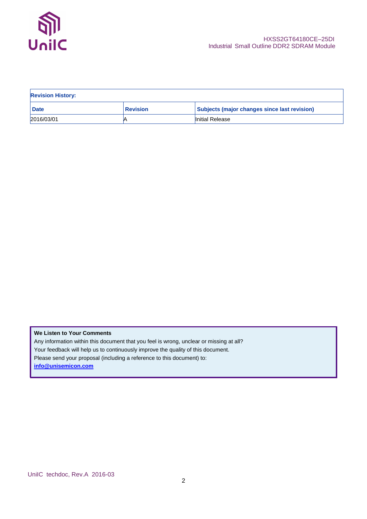

| <b>Revision History:</b> |                 |                                              |  |  |  |
|--------------------------|-----------------|----------------------------------------------|--|--|--|
| <b>Date</b>              | <b>Revision</b> | Subjects (major changes since last revision) |  |  |  |
| 2016/03/01               |                 | Initial Release                              |  |  |  |

**We Listen to Your Comments** Any information within this document that you feel is wrong, unclear or missing at all? Your feedback will help us to continuously improve the quality of this document. Please send your proposal (including a reference to this document) to: **info@unisemicon.com**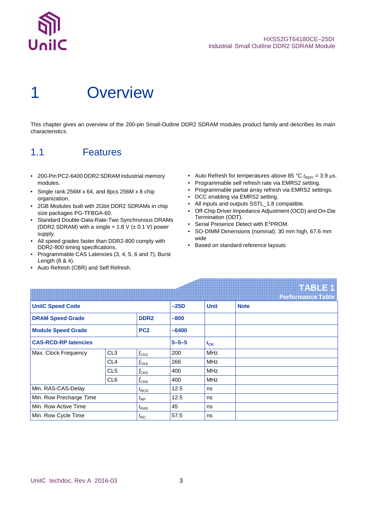

## **Overview**

This chapter gives an overview of the 200-pin Small-Outline DDR2 SDRAM modules product family and describes its main characteristics.

## 1.1 Features

- 200-Pin PC2-6400 DDR2 SDRAM industrial memory modules.
- Single rank 256M x 64, and 8pcs 256M x 8 chip organization.
- 2GB Modules built with 2Gbit DDR2 SDRAMs in chip size packages PG-TFBGA-60.
- Standard Double-Data-Rate-Two Synchronous DRAMs (DDR2 SDRAM) with a single  $+1.8$  V ( $\pm$  0.1 V) power supply.
- All speed grades faster than DDR2-800 comply with DDR2-800 timing specifications.
- Programmable CAS Latencies (3, 4, 5, 6 and 7), Burst Length (8 & 4).
- Auto Refresh (CBR) and Self Refresh.
- Auto Refresh for temperatures above 85 °C  $t_{\text{REFI}} = 3.9 \,\mu s$ .
- Programmable self refresh rate via EMRS2 setting.
- Programmable partial array refresh via EMRS2 settings.
- DCC enabling via EMRS2 setting.
- All inputs and outputs SSTL\_1.8 compatible.
- Off-Chip Driver Impedance Adjustment (OCD) and On-Die Termination (ODT).
- Serial Presence Detect with E<sup>2</sup>PROM.
- SO-DIMM Dimensions (nominal): 30 mm high, 67.6 mm wide
- Based on standard reference layouts

|                             |                 |                    |             |             | <b>TABLE1</b>            |
|-----------------------------|-----------------|--------------------|-------------|-------------|--------------------------|
|                             |                 |                    |             |             | <b>Performance Table</b> |
| <b>UnilC Speed Code</b>     |                 |                    | $-25D$      | <b>Unit</b> | <b>Note</b>              |
| <b>DRAM Speed Grade</b>     |                 | DDR <sub>2</sub>   | $-800$      |             |                          |
| <b>Module Speed Grade</b>   |                 | PC <sub>2</sub>    | $-6400$     |             |                          |
| <b>CAS-RCD-RP latencies</b> |                 |                    | $5 - 5 - 5$ | $t_{CK}$    |                          |
| Max. Clock Frequency        | CL <sub>3</sub> | $f_{CK3}$          | 200         | <b>MHz</b>  |                          |
|                             | CL <sub>4</sub> | $f_{CK4}$          | 266         | <b>MHz</b>  |                          |
|                             | CL <sub>5</sub> | $f_{CK5}$          | 400         | <b>MHz</b>  |                          |
|                             | CL <sub>6</sub> | $f_{\mathsf{CK6}}$ | 400         | <b>MHz</b>  |                          |
| Min. RAS-CAS-Delay          |                 | $t_{\text{RCD}}$   | 12.5        | ns          |                          |
| Min. Row Precharge Time     |                 | $t_{\sf RP}$       | 12.5        | ns          |                          |
| Min. Row Active Time        |                 | $t_{\text{RAS}}$   | 45          | ns          |                          |
| Min. Row Cycle Time         |                 | $t_{\sf RC}$       | 57.5        | ns          |                          |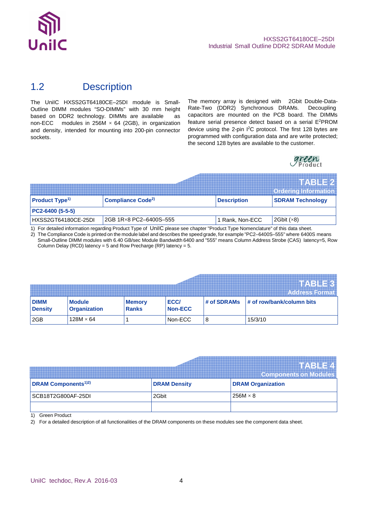

### 1.2 Description

The UniIC HXSS2GT64180CE-25DI module is Small-Outline DIMM modules "SO-DIMMs" with 30 mm height based on DDR2 technology. DIMMs are available as non-ECC modules in 256M  $\times$  64 (2GB), in organization and density, intended for mounting into 200-pin connector sockets.

The memory array is designed with 2Gbit Double-Data-Rate-Two (DDR2) Synchronous DRAMs. Decoupling capacitors are mounted on the PCB board. The DIMMs feature serial presence detect based on a serial E<sup>2</sup>PROM device using the 2-pin I<sup>2</sup>C protocol. The first 128 bytes are programmed with configuration data and are write protected; the second 128 bytes are available to the customer.



|                            |                                     |                    | <b>TABLE2</b><br><b>Ordering Information</b> |
|----------------------------|-------------------------------------|--------------------|----------------------------------------------|
| Product Type <sup>1)</sup> | <b>Compliance Code<sup>2)</sup></b> | <b>Description</b> | <b>SDRAM Technology</b>                      |
| PC2-6400 (5-5-5)           |                                     |                    |                                              |
| HXSS2GT64180CE-25DI        | 2GB 1R×8 PC2-6400S-555              | 1 Rank, Non-ECC    | 2Gbit(x8)                                    |

1) For detailed information regarding Product Type of UniIC please see chapter "Product Type Nomenclature" of this data sheet.

2) The Compliance Code is printed on the module label and describes the speed grade, for example "PC2–6400S–555" where 6400S means Small-Outline DIMM modules with 6.40 GB/sec Module Bandwidth 6400 and "555" means Column Address Strobe (CAS) latency=5, Row Column Delay (RCD) latency = 5 and Row Precharge (RP) latency = 5.

|                               |                                      |                               |                 |             | ◥◾◮▚▚▜█▄▁<br><b>Address Format</b> |
|-------------------------------|--------------------------------------|-------------------------------|-----------------|-------------|------------------------------------|
| <b>DIMM</b><br><b>Density</b> | <b>Module</b><br><b>Organization</b> | <b>Memory</b><br><b>Ranks</b> | ECC/<br>Non-ECC | # of SDRAMs | $\#$ of row/bank/column bits       |
| 2GB                           | $128M \times 64$                     |                               | Non-ECC         | 8           | 15/3/10                            |

|                                        |                     | <b>WARD</b> .<br><b>Components on Modules</b> |
|----------------------------------------|---------------------|-----------------------------------------------|
| <b>DRAM Components</b> <sup>1)2)</sup> | <b>DRAM Density</b> | <b>DRAM Organization</b>                      |
| SCB18T2G800AF-25DI                     | 2Gbit               | $256M \times 8$                               |
|                                        |                     |                                               |

1) Green Product

2) For a detailed description of all functionalities of the DRAM components on these modules see the component data sheet.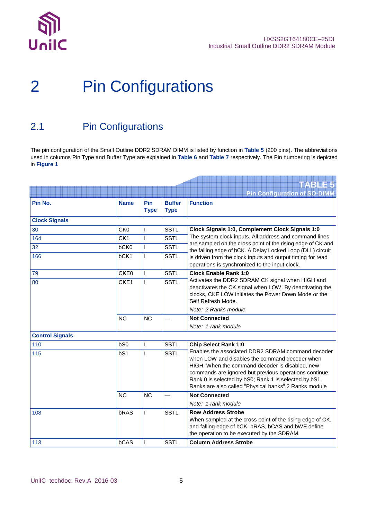

# 2 Pin Configurations

### 2.1 Pin Configurations

The pin configuration of the Small Outline DDR2 SDRAM DIMM is listed by function in **Table 5** (200 pins). The abbreviations used in columns Pin Type and Buffer Type are explained in **Table 6** and **Table 7** respectively. The Pin numbering is depicted in **Figure 1**

|                        |                  |                    |                              | TARIE5                                                                                                                                                                                                                                                                                                                             |
|------------------------|------------------|--------------------|------------------------------|------------------------------------------------------------------------------------------------------------------------------------------------------------------------------------------------------------------------------------------------------------------------------------------------------------------------------------|
|                        |                  |                    |                              | <b>Pin Configuration of SO-DIMM</b>                                                                                                                                                                                                                                                                                                |
| Pin No.                | <b>Name</b>      | Pin<br><b>Type</b> | <b>Buffer</b><br><b>Type</b> | <b>Function</b>                                                                                                                                                                                                                                                                                                                    |
| <b>Clock Signals</b>   |                  |                    |                              |                                                                                                                                                                                                                                                                                                                                    |
| 30                     | CK <sub>0</sub>  | I                  | <b>SSTL</b>                  | Clock Signals 1:0, Complement Clock Signals 1:0                                                                                                                                                                                                                                                                                    |
| 164                    | CK <sub>1</sub>  | I                  | <b>SSTL</b>                  | The system clock inputs. All address and command lines                                                                                                                                                                                                                                                                             |
| 32                     | bCK0             | L                  | <b>SSTL</b>                  | are sampled on the cross point of the rising edge of CK and<br>the falling edge of bCK. A Delay Locked Loop (DLL) circuit                                                                                                                                                                                                          |
| 166                    | bCK1             | I                  | <b>SSTL</b>                  | is driven from the clock inputs and output timing for read<br>operations is synchronized to the input clock.                                                                                                                                                                                                                       |
| 79                     | CKE <sub>0</sub> | $\mathbf{I}$       | <b>SSTL</b>                  | <b>Clock Enable Rank 1:0</b>                                                                                                                                                                                                                                                                                                       |
| 80                     | CKE1             | L                  | <b>SSTL</b>                  | Activates the DDR2 SDRAM CK signal when HIGH and<br>deactivates the CK signal when LOW. By deactivating the<br>clocks, CKE LOW initiates the Power Down Mode or the<br>Self Refresh Mode.<br>Note: 2 Ranks module                                                                                                                  |
|                        | <b>NC</b>        | <b>NC</b>          |                              | <b>Not Connected</b>                                                                                                                                                                                                                                                                                                               |
|                        |                  |                    |                              | Note: 1-rank module                                                                                                                                                                                                                                                                                                                |
| <b>Control Signals</b> |                  |                    |                              |                                                                                                                                                                                                                                                                                                                                    |
| 110                    | bS0              | I                  | <b>SSTL</b>                  | <b>Chip Select Rank 1:0</b>                                                                                                                                                                                                                                                                                                        |
| 115                    | bS1              | I                  | <b>SSTL</b>                  | Enables the associated DDR2 SDRAM command decoder<br>when LOW and disables the command decoder when<br>HIGH. When the command decoder is disabled, new<br>commands are ignored but previous operations continue.<br>Rank 0 is selected by bS0; Rank 1 is selected by bS1.<br>Ranks are also called "Physical banks".2 Ranks module |
|                        | <b>NC</b>        | <b>NC</b>          |                              | <b>Not Connected</b>                                                                                                                                                                                                                                                                                                               |
|                        |                  |                    |                              | Note: 1-rank module                                                                                                                                                                                                                                                                                                                |
| 108                    | bRAS             | I                  | <b>SSTL</b>                  | <b>Row Address Strobe</b><br>When sampled at the cross point of the rising edge of CK,<br>and falling edge of bCK, bRAS, bCAS and bWE define<br>the operation to be executed by the SDRAM.                                                                                                                                         |
| 113                    | bCAS             | I                  | <b>SSTL</b>                  | <b>Column Address Strobe</b>                                                                                                                                                                                                                                                                                                       |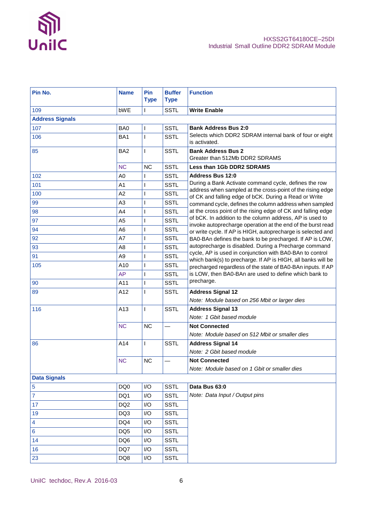

| Pin No.                | <b>Name</b>     | <b>Pin</b><br><b>Type</b> | <b>Buffer</b><br><b>Type</b> | <b>Function</b>                                                                                                             |
|------------------------|-----------------|---------------------------|------------------------------|-----------------------------------------------------------------------------------------------------------------------------|
| 109                    | bWE             |                           | <b>SSTL</b>                  | <b>Write Enable</b>                                                                                                         |
| <b>Address Signals</b> |                 |                           |                              |                                                                                                                             |
| 107                    | BA0             |                           | <b>SSTL</b>                  | <b>Bank Address Bus 2:0</b>                                                                                                 |
| 106                    | BA <sub>1</sub> | I                         | <b>SSTL</b>                  | Selects which DDR2 SDRAM internal bank of four or eight<br>is activated.                                                    |
| 85                     | BA <sub>2</sub> | L                         | <b>SSTL</b>                  | <b>Bank Address Bus 2</b><br>Greater than 512Mb DDR2 SDRAMS                                                                 |
|                        | <b>NC</b>       | <b>NC</b>                 | <b>SSTL</b>                  | Less than 1Gb DDR2 SDRAMS                                                                                                   |
| 102                    | A <sub>0</sub>  | L                         | <b>SSTL</b>                  | <b>Address Bus 12:0</b>                                                                                                     |
| 101                    | A <sub>1</sub>  |                           | <b>SSTL</b>                  | During a Bank Activate command cycle, defines the row                                                                       |
| 100                    | A2              |                           | <b>SSTL</b>                  | address when sampled at the cross-point of the rising edge<br>of CK and falling edge of bCK. During a Read or Write         |
| 99                     | A <sub>3</sub>  |                           | <b>SSTL</b>                  | command cycle, defines the column address when sampled                                                                      |
| 98                     | A4              | I                         | <b>SSTL</b>                  | at the cross point of the rising edge of CK and falling edge                                                                |
| 97                     | A <sub>5</sub>  | I                         | <b>SSTL</b>                  | of bCK. In addition to the column address, AP is used to                                                                    |
| 94                     | A <sub>6</sub>  | I                         | <b>SSTL</b>                  | invoke autoprecharge operation at the end of the burst read<br>or write cycle. If AP is HIGH, autoprecharge is selected and |
| 92                     | A7              | I                         | <b>SSTL</b>                  | BA0-BAn defines the bank to be precharged. If AP is LOW,                                                                    |
| 93                     | A <sub>8</sub>  |                           | <b>SSTL</b>                  | autoprecharge is disabled. During a Precharge command                                                                       |
| 91                     | A <sub>9</sub>  | I                         | <b>SSTL</b>                  | cycle, AP is used in conjunction with BA0-BAn to control                                                                    |
| 105                    | A10             | I                         | <b>SSTL</b>                  | which bank(s) to precharge. If AP is HIGH, all banks will be<br>precharged regardless of the state of BA0-BAn inputs. If AP |
|                        | <b>AP</b>       | I                         | <b>SSTL</b>                  | is LOW, then BA0-BAn are used to define which bank to                                                                       |
| 90                     | A11             | L                         | <b>SSTL</b>                  | precharge.                                                                                                                  |
| 89                     | A12             | I                         | <b>SSTL</b>                  | <b>Address Signal 12</b>                                                                                                    |
|                        |                 |                           |                              | Note: Module based on 256 Mbit or larger dies                                                                               |
| 116                    | A13             | L                         | <b>SSTL</b>                  | <b>Address Signal 13</b>                                                                                                    |
|                        |                 |                           |                              | Note: 1 Gbit based module                                                                                                   |
|                        | <b>NC</b>       | <b>NC</b>                 |                              | <b>Not Connected</b>                                                                                                        |
|                        |                 |                           |                              | Note: Module based on 512 Mbit or smaller dies                                                                              |
| 86                     | A14             | I                         | <b>SSTL</b>                  | <b>Address Signal 14</b>                                                                                                    |
|                        |                 |                           |                              | Note: 2 Gbit based module                                                                                                   |
|                        | NC              | NC                        |                              | <b>Not Connected</b>                                                                                                        |
|                        |                 |                           |                              | Note: Module based on 1 Gbit or smaller dies                                                                                |
| <b>Data Signals</b>    |                 |                           |                              |                                                                                                                             |
| 5                      | DQ0             | I/O                       | <b>SSTL</b>                  | Data Bus 63:0                                                                                                               |
| $\overline{7}$         | DQ1             | I/O                       | <b>SSTL</b>                  | Note: Data Input / Output pins                                                                                              |
| 17                     | DQ <sub>2</sub> | I/O                       | <b>SSTL</b>                  |                                                                                                                             |
| 19                     | DQ3             | I/O                       | <b>SSTL</b>                  |                                                                                                                             |
| $\overline{4}$         | DQ4             | I/O                       | <b>SSTL</b>                  |                                                                                                                             |
| $\bf 6$                | DQ <sub>5</sub> | I/O                       | <b>SSTL</b>                  |                                                                                                                             |
| 14                     | DQ6             | I/O                       | <b>SSTL</b>                  |                                                                                                                             |
| 16                     | DQ7             | I/O                       | <b>SSTL</b>                  |                                                                                                                             |
| 23                     | DQ8             | I/O                       | <b>SSTL</b>                  |                                                                                                                             |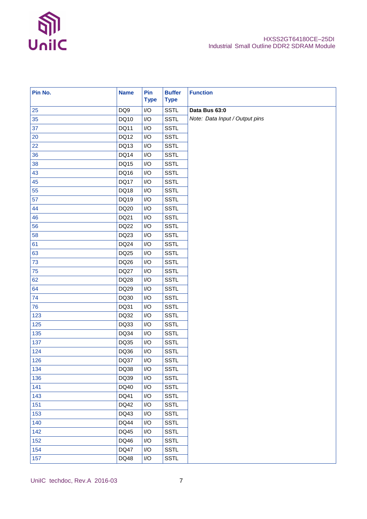

| Pin No. | <b>Name</b> | Pin<br><b>Type</b>      | <b>Buffer</b><br><b>Type</b> | <b>Function</b>                |
|---------|-------------|-------------------------|------------------------------|--------------------------------|
| 25      | DQ9         | I/O                     | <b>SSTL</b>                  | Data Bus 63:0                  |
| 35      | DQ10        | $\mathsf{I}/\mathsf{O}$ | <b>SSTL</b>                  | Note: Data Input / Output pins |
| 37      | DQ11        | $\mathsf{I}/\mathsf{O}$ | <b>SSTL</b>                  |                                |
| 20      | DQ12        | I/O                     | <b>SSTL</b>                  |                                |
| 22      | DQ13        | $\mathsf{I}/\mathsf{O}$ | <b>SSTL</b>                  |                                |
| 36      | DQ14        | $\mathsf{I}/\mathsf{O}$ | <b>SSTL</b>                  |                                |
| 38      | DQ15        | $\mathsf{I}/\mathsf{O}$ | <b>SSTL</b>                  |                                |
| 43      | DQ16        | $\mathsf{I}/\mathsf{O}$ | <b>SSTL</b>                  |                                |
| 45      | <b>DQ17</b> | I/O                     | <b>SSTL</b>                  |                                |
| 55      | DQ18        | $\mathsf{I}/\mathsf{O}$ | <b>SSTL</b>                  |                                |
| 57      | DQ19        | $\mathsf{I}/\mathsf{O}$ | <b>SSTL</b>                  |                                |
| 44      | DQ20        | I/O                     | <b>SSTL</b>                  |                                |
| 46      | DQ21        | $\mathsf{I}/\mathsf{O}$ | <b>SSTL</b>                  |                                |
| 56      | DQ22        | I/O                     | <b>SSTL</b>                  |                                |
| 58      | DQ23        | $\mathsf{I}/\mathsf{O}$ | <b>SSTL</b>                  |                                |
| 61      | <b>DQ24</b> | I/O                     | <b>SSTL</b>                  |                                |
| 63      | DQ25        | $\mathsf{I}/\mathsf{O}$ | <b>SSTL</b>                  |                                |
| 73      | DQ26        | $\mathsf{I}/\mathsf{O}$ | <b>SSTL</b>                  |                                |
| 75      | <b>DQ27</b> | I/O                     | <b>SSTL</b>                  |                                |
| 62      | DQ28        | $\mathsf{I}/\mathsf{O}$ | <b>SSTL</b>                  |                                |
| 64      | DQ29        | $\mathsf{I}/\mathsf{O}$ | <b>SSTL</b>                  |                                |
| 74      | DQ30        | $\mathsf{I}/\mathsf{O}$ | <b>SSTL</b>                  |                                |
| 76      | DQ31        | $\mathsf{I}/\mathsf{O}$ | <b>SSTL</b>                  |                                |
| 123     | DQ32        | $\mathsf{I}/\mathsf{O}$ | <b>SSTL</b>                  |                                |
| 125     | DQ33        | $\mathsf{I}/\mathsf{O}$ | <b>SSTL</b>                  |                                |
| 135     | DQ34        | I/O                     | <b>SSTL</b>                  |                                |
| 137     | DQ35        | I/O                     | <b>SSTL</b>                  |                                |
| 124     | DQ36        | I/O                     | <b>SSTL</b>                  |                                |
| 126     | DQ37        | $\mathsf{I}/\mathsf{O}$ | SSTL                         |                                |
| 134     | DQ38        | I/O                     | <b>SSTL</b>                  |                                |
| 136     | DQ39        | I/O                     | <b>SSTL</b>                  |                                |
| 141     | DQ40        | I/O                     | <b>SSTL</b>                  |                                |
| 143     | DQ41        | I/O                     | <b>SSTL</b>                  |                                |
| 151     | DQ42        | I/O                     | <b>SSTL</b>                  |                                |
| 153     | DQ43        | I/O                     | <b>SSTL</b>                  |                                |
| 140     | DQ44        | I/O                     | <b>SSTL</b>                  |                                |
| 142     | DQ45        | I/O                     | <b>SSTL</b>                  |                                |
| 152     | DQ46        | I/O                     | <b>SSTL</b>                  |                                |
| 154     | DQ47        | I/O                     | <b>SSTL</b>                  |                                |
| 157     | DQ48        | $\sf I/O$               | <b>SSTL</b>                  |                                |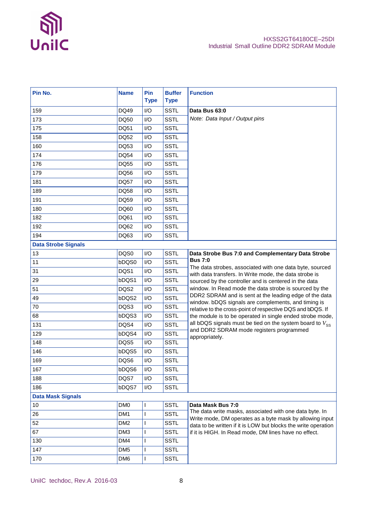

| Pin No.                    | <b>Name</b>     | <b>Pin</b><br><b>Type</b> | <b>Buffer</b><br><b>Type</b> | <b>Function</b>                                                                                                     |
|----------------------------|-----------------|---------------------------|------------------------------|---------------------------------------------------------------------------------------------------------------------|
| 159                        | DQ49            | I/O                       | <b>SSTL</b>                  | Data Bus 63:0                                                                                                       |
| 173                        | DQ50            | I/O                       | <b>SSTL</b>                  | Note: Data Input / Output pins                                                                                      |
| 175                        | DQ51            | I/O                       | <b>SSTL</b>                  |                                                                                                                     |
| 158                        | DQ52            | I/O                       | <b>SSTL</b>                  |                                                                                                                     |
| 160                        | DQ53            | I/O                       | <b>SSTL</b>                  |                                                                                                                     |
| 174                        | DQ54            | I/O                       | <b>SSTL</b>                  |                                                                                                                     |
| 176                        | DQ55            | I/O                       | <b>SSTL</b>                  |                                                                                                                     |
| 179                        | DQ56            | I/O                       | <b>SSTL</b>                  |                                                                                                                     |
| 181                        | DQ57            | I/O                       | <b>SSTL</b>                  |                                                                                                                     |
| 189                        | DQ58            | I/O                       | <b>SSTL</b>                  |                                                                                                                     |
| 191                        | DQ59            | I/O                       | <b>SSTL</b>                  |                                                                                                                     |
| 180                        | DQ60            | I/O                       | <b>SSTL</b>                  |                                                                                                                     |
| 182                        | DQ61            | I/O                       | <b>SSTL</b>                  |                                                                                                                     |
| 192                        | DQ62            | I/O                       | <b>SSTL</b>                  |                                                                                                                     |
| 194                        | DQ63            | I/O                       | <b>SSTL</b>                  |                                                                                                                     |
| <b>Data Strobe Signals</b> |                 |                           |                              |                                                                                                                     |
| 13                         | DQS0            | I/O                       | <b>SSTL</b>                  | Data Strobe Bus 7:0 and Complementary Data Strobe                                                                   |
| 11                         | bDQS0           | I/O                       | <b>SSTL</b>                  | <b>Bus 7:0</b>                                                                                                      |
| 31                         | DQS1            | I/O                       | <b>SSTL</b>                  | The data strobes, associated with one data byte, sourced<br>with data transfers. In Write mode, the data strobe is  |
| 29                         | bDQS1           | I/O                       | <b>SSTL</b>                  | sourced by the controller and is centered in the data                                                               |
| 51                         | DQS2            | I/O                       | <b>SSTL</b>                  | window. In Read mode the data strobe is sourced by the                                                              |
| 49                         | bDQS2           | I/O                       | <b>SSTL</b>                  | DDR2 SDRAM and is sent at the leading edge of the data<br>window. bDQS signals are complements, and timing is       |
| 70                         | DQS3            | I/O                       | <b>SSTL</b>                  | relative to the cross-point of respective DQS and bDQS. If                                                          |
| 68                         | bDQS3           | I/O                       | <b>SSTL</b>                  | the module is to be operated in single ended strobe mode,                                                           |
| 131                        | DQS4            | I/O                       | <b>SSTL</b>                  | all bDQS signals must be tied on the system board to $V_{SS}$<br>and DDR2 SDRAM mode registers programmed           |
| 129                        | bDQS4           | I/O                       | <b>SSTL</b>                  | appropriately.                                                                                                      |
| 148                        | DQS5            | I/O                       | <b>SSTL</b>                  |                                                                                                                     |
| 146                        | bDQS5           | I/O                       | <b>SSTL</b>                  |                                                                                                                     |
| 169                        | DQS6            | $\mathsf{I}/\mathsf{O}$   | <b>SSTL</b>                  |                                                                                                                     |
| 167                        | bDQS6           | I/O                       | <b>SSTL</b>                  |                                                                                                                     |
| 188                        | DQS7            | I/O                       | <b>SSTL</b>                  |                                                                                                                     |
| 186                        | bDQS7           | I/O                       | <b>SSTL</b>                  |                                                                                                                     |
| <b>Data Mask Signals</b>   |                 |                           |                              |                                                                                                                     |
| 10                         | DM <sub>0</sub> |                           | <b>SSTL</b>                  | Data Mask Bus 7:0                                                                                                   |
| 26                         | DM <sub>1</sub> | L                         | <b>SSTL</b>                  | The data write masks, associated with one data byte. In<br>Write mode, DM operates as a byte mask by allowing input |
| 52                         | DM <sub>2</sub> | L                         | <b>SSTL</b>                  | data to be written if it is LOW but blocks the write operation                                                      |
| 67                         | DM3             | L                         | <b>SSTL</b>                  | if it is HIGH. In Read mode, DM lines have no effect.                                                               |
| 130                        | DM4             | L                         | <b>SSTL</b>                  |                                                                                                                     |
| 147                        | DM <sub>5</sub> | L                         | <b>SSTL</b>                  |                                                                                                                     |
| 170                        | DM6             |                           | <b>SSTL</b>                  |                                                                                                                     |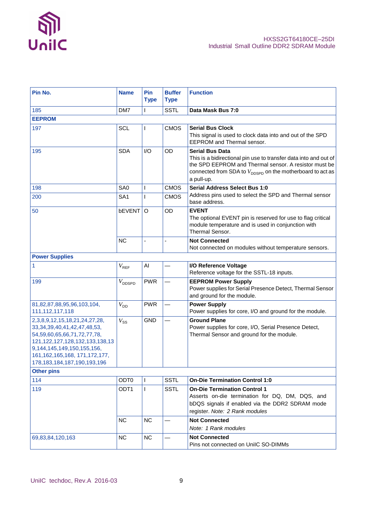

| Pin No.                                                                                                                                                                                                                                                                 | <b>Name</b>        | Pin<br><b>Type</b> | <b>Buffer</b><br><b>Type</b> | <b>Function</b>                                                                                                                                                                                                                            |
|-------------------------------------------------------------------------------------------------------------------------------------------------------------------------------------------------------------------------------------------------------------------------|--------------------|--------------------|------------------------------|--------------------------------------------------------------------------------------------------------------------------------------------------------------------------------------------------------------------------------------------|
| 185                                                                                                                                                                                                                                                                     | DM7                |                    | <b>SSTL</b>                  | Data Mask Bus 7:0                                                                                                                                                                                                                          |
| <b>EEPROM</b>                                                                                                                                                                                                                                                           |                    |                    |                              |                                                                                                                                                                                                                                            |
| 197                                                                                                                                                                                                                                                                     | <b>SCL</b>         |                    | <b>CMOS</b>                  | <b>Serial Bus Clock</b><br>This signal is used to clock data into and out of the SPD<br>EEPROM and Thermal sensor.                                                                                                                         |
| 195                                                                                                                                                                                                                                                                     | <b>SDA</b>         | I/O                | OD                           | <b>Serial Bus Data</b><br>This is a bidirectional pin use to transfer data into and out of<br>the SPD EEPROM and Thermal sensor. A resistor must be<br>connected from SDA to $V_{\text{DOSPD}}$ on the motherboard to act as<br>a pull-up. |
| 198                                                                                                                                                                                                                                                                     | SA <sub>0</sub>    |                    | <b>CMOS</b>                  | <b>Serial Address Select Bus 1:0</b>                                                                                                                                                                                                       |
| 200                                                                                                                                                                                                                                                                     | SA <sub>1</sub>    |                    | <b>CMOS</b>                  | Address pins used to select the SPD and Thermal sensor<br>base address.                                                                                                                                                                    |
| 50                                                                                                                                                                                                                                                                      | bEVENT             | $\circ$            | OD                           | <b>EVENT</b><br>The optional EVENT pin is reserved for use to flag critical<br>module temperature and is used in conjunction with<br><b>Thermal Sensor.</b>                                                                                |
|                                                                                                                                                                                                                                                                         | <b>NC</b>          |                    |                              | <b>Not Connected</b><br>Not connected on modules without temperature sensors.                                                                                                                                                              |
| <b>Power Supplies</b>                                                                                                                                                                                                                                                   |                    |                    |                              |                                                                                                                                                                                                                                            |
| 1                                                                                                                                                                                                                                                                       | $V_{\text{REF}}$   | AI                 |                              | I/O Reference Voltage<br>Reference voltage for the SSTL-18 inputs.                                                                                                                                                                         |
| 199                                                                                                                                                                                                                                                                     | $V_{\text{DDSPD}}$ | <b>PWR</b>         |                              | <b>EEPROM Power Supply</b><br>Power supplies for Serial Presence Detect, Thermal Sensor<br>and ground for the module.                                                                                                                      |
| 81,82,87,88,95,96,103,104,<br>111, 112, 117, 118                                                                                                                                                                                                                        | $V_{DD}$           | <b>PWR</b>         |                              | <b>Power Supply</b><br>Power supplies for core, I/O and ground for the module.                                                                                                                                                             |
| 2, 3, 8, 9, 12, 15, 18, 21, 24, 27, 28,<br>33, 34, 39, 40, 41, 42, 47, 48, 53,<br>54, 59, 60, 65, 66, 71, 72, 77, 78,<br>121, 122, 127, 128, 132, 133, 138, 13<br>9,144,145,149,150,155,156,<br>161, 162, 165, 168, 171, 172, 177,<br>178, 183, 184, 187, 190, 193, 196 | $V_{SS}$           | <b>GND</b>         |                              | <b>Ground Plane</b><br>Power supplies for core, I/O, Serial Presence Detect,<br>Thermal Sensor and ground for the module.                                                                                                                  |
| <b>Other pins</b>                                                                                                                                                                                                                                                       |                    |                    |                              |                                                                                                                                                                                                                                            |
| 114                                                                                                                                                                                                                                                                     | ODT0               | $\mathbf{I}$       | <b>SSTL</b>                  | <b>On-Die Termination Control 1:0</b>                                                                                                                                                                                                      |
| 119                                                                                                                                                                                                                                                                     | ODT <sub>1</sub>   | $\mathsf{I}$       | <b>SSTL</b>                  | <b>On-Die Termination Control 1</b><br>Asserts on-die termination for DQ, DM, DQS, and<br>bDQS signals if enabled via the DDR2 SDRAM mode<br>register. Note: 2 Rank modules                                                                |
|                                                                                                                                                                                                                                                                         | <b>NC</b>          | <b>NC</b>          |                              | <b>Not Connected</b><br>Note: 1 Rank modules                                                                                                                                                                                               |
| 69,83,84,120,163                                                                                                                                                                                                                                                        | <b>NC</b>          | <b>NC</b>          |                              | <b>Not Connected</b><br>Pins not connected on UniIC SO-DIMMs                                                                                                                                                                               |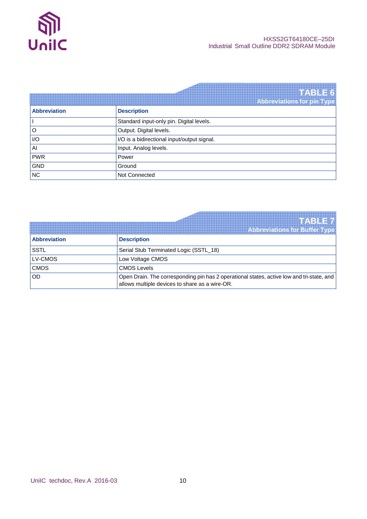

|                     | TABLE6                                      |
|---------------------|---------------------------------------------|
|                     | <b>Abbreviations for pin Type</b>           |
| <b>Abbreviation</b> | <b>Description</b>                          |
|                     | Standard input-only pin. Digital levels.    |
| O                   | Output. Digital levels.                     |
| I/O                 | I/O is a bidirectional input/output signal. |
| $\mathsf{A}$        | Input. Analog levels.                       |
| <b>PWR</b>          | Power                                       |
| <b>GND</b>          | Ground                                      |
| NC                  | Not Connected                               |

|                     | <b>TABETA</b><br><b>Abbreviations for Buffer Type</b>                                                                                       |
|---------------------|---------------------------------------------------------------------------------------------------------------------------------------------|
| <b>Abbreviation</b> | <b>Description</b>                                                                                                                          |
| <b>SSTL</b>         | Serial Stub Terminated Logic (SSTL_18)                                                                                                      |
| LV-CMOS             | Low Voltage CMOS                                                                                                                            |
| <b>CMOS</b>         | <b>CMOS Levels</b>                                                                                                                          |
| OD                  | Open Drain. The corresponding pin has 2 operational states, active low and tri-state, and<br>allows multiple devices to share as a wire-OR. |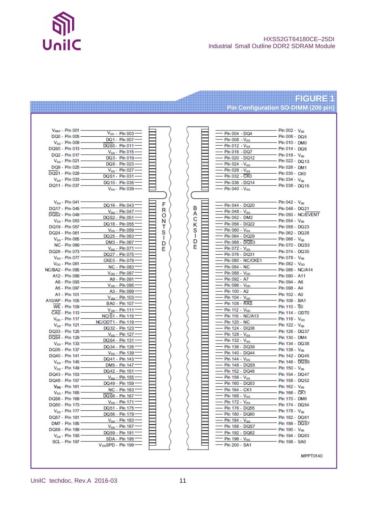

#### HXSS2GT64180CE–25DI Industrial Small Outline DDR2 SDRAM Module

#### **FIGURE 1 Pin Configuration SO-DIMM (200 pin)**

| $V_{REF}$ - Pin 001         | $V_{ss}$ - Pin 003             |   |        | Pin 004 - DQ4               | $-$ Pin 002 - $V_{\rm ss}$  |
|-----------------------------|--------------------------------|---|--------|-----------------------------|-----------------------------|
| DQ0 - Pin 005 -             | DQ1 - Pin 007-                 |   |        | - Pin 008 - Vss             | $-$ Pin 006 - DQ5           |
| $V_{\rm ss}$ - Pin 009 -    | DQS0 - Pin 011                 |   |        |                             | - Pin 010 - DM0             |
| DQS0 - Pin 013 -            |                                |   |        | - Pin 012 - Vss             | - Pin 014 - DQ6             |
| DQ2 - Pin 017 -             | $V_{\rm ss}$ - Pin 015         |   |        | - Pin 016 - DQ7             | $-$ Pin 018 - $V_{\rm ss}$  |
| $V_{\rm ss}$ - Pin 021 –    | DQ3 - Pin 019                  |   |        | - Pin 020 - DQ12            | - Pin 022 - DQ13            |
| DQ9 - Pin 025 -             | DQ8 - Pin 023                  |   |        | Pin $024 - V_{SS}$          | - Pin 026 - DM1             |
| DQS1 - Pin 029 -            | $V_{\rm ss}$ - Pin 027         |   |        | Pin 028 - $V_{\rm ss}$      | - Pin 030 - CK0             |
| $V_{\rm ss}$ - Pin 033      | DQS1 - Pin 031                 |   |        | - Pin 032 - CK0             | - Pin 034 - Vss             |
| DQ11 - Pin 037 -            | DQ10 - Pin 035                 |   |        | - Pin 036 - DQ14            | - Pin 038 - DQ15            |
|                             | $V_{\rm ss}$ - Pin 039 -       |   |        | – Pin 040 - Vss             |                             |
|                             |                                |   |        |                             |                             |
| $V_{\rm ss}$ - Pin 041      | DQ16 - Pin 043                 | F |        | - Pin 044 - DQ20            | - Pin 042 - Vss             |
| DQ17 - Pin 045              | $V_{SS}$ - Pin 047             | R | в      | - Pin 048 - V <sub>ss</sub> | - Pin 046 - DQ21            |
| DQS2 - Pin 049              | DQS2 - Pin 051                 | O | А      | - Pin 052 - DM2             | - Pin 050 - NC/EVENT        |
| $V_{\rm ss}$ - Pin 053 -    | DQ18 - Pin 055                 | N | с      | - Pin 056 - DQ22            | - Pin 054 - Vss             |
| DQ19 - Pin 057 -            | $V_{ss}$ - Pin 059             | т | κ      | - Pin 060 - Vss             | - Pin 058 - DQ23            |
| DQ24 - Pin 061              |                                | s | s<br>п |                             | - Pin 062 - DQ28            |
| $V_{\rm ss}$ - Pin 065      | DQ25 - Pin 063                 | 1 | D      | - Pin 064 - DQ29            | - Pin 066 - Vss             |
| <b>NC - Pin 069</b>         | DM3 - Pin 067                  | D | E      | - Pin 068 - DQS3            | - Pin 070 - DQS3            |
| DQ26 - Pin 073              | $V_{SS}$ - Pin 071             | F |        | - Pin 072 - Vss             | - Pin 074 - DQ30            |
| $V_{\rm SS}$ - Pin 077      | DQ27 - Pin 075                 |   |        | - Pin 076 - DQ31            | - Pin 078 - Vss             |
| V <sub>DD</sub> - Pin 081 - | CKE0 - Pin 079                 |   |        | - Pin 080 - NC/CKE1         | – Pin 082 - V <sub>DD</sub> |
| NC/BA2 - Pin 085            | <b>NC - Pin 083</b>            |   |        | - Pin 084 - NC              | - Pin 086 - NC/A14          |
| A12 - Pin 089 -             | $V_{DD}$ - Pin 087             |   |        | Pin 088 - V <sub>pp</sub>   | - Pin 090 - A11             |
| A8 - Pin 093 -              | A9 - Pin 091                   |   |        | - Pin 092 - A7              | - Pin 094 - A6              |
| A5 - Pin 097                | V <sub>DD</sub> - Pin 095      |   |        | – Pin 096 - V <sub>DD</sub> | - Pin 098 - A4              |
| A1 - Pin 101 -              | A3 - Pin 099                   |   |        | - Pin 100 - A2              | - Pin 102 - A0              |
| A10/AP - Pin 105            | $V_{DD}$ - Pin 103             |   |        | - Pin 104 - V <sub>pp</sub> | - Pin 106 - BA1             |
| WE - Pin 109                | BA0 - Pin 107 -                |   |        | – Pin 108 - RAS             | - Pin 110 - S0              |
| CAS - Pin 113 -             | $V_{DD}$ - Pin 111             |   |        | - Pin 112 - V <sub>pp</sub> | - Pin 114 - ODT0            |
| $V_{DD}$ - Pin 117 -        | NC/S1 - Pin 115                |   |        | - Pin 116 - NC/A13          | - Pin 118 - V <sub>pp</sub> |
| $V_{\rm ss}$ - Pin 121 -    | NC/ODT1 - Pin 119              |   |        | - Pin 120 - NC              | - Pin 122 - Vss             |
| DQ33 - Pin 125              | DQ32 - Pin 123                 |   |        | - Pin 124 - DQ36            | - Pin 126 - DQ37            |
| DQS4 - Pin 129              | $V_{\rm ss}$ - Pin 127         |   |        | - Pin 128 - Vss             | - Pin 130 - DM4             |
| $V_{\rm ss}$ - Pin 133 -    | DQS4 - Pin 131                 |   |        | - Pin 132 - V <sub>ss</sub> | - Pin 134 - DQ38            |
| DQ35 - Pin 137 -            | DQ34 - Pin 135                 |   |        | - Pin 136 - DQ39            | - Pin 138 - Vss             |
| DQ40 - Pin 141              | $V_{\rm SS}$ - Pin 139         |   |        | - Pin 140 - DQ44            | - Pin 142 - DQ45            |
| $V_{\rm ss}$ - Pin 145 -    | DQ41 - Pin 143                 |   |        | Pin 144 - Vss               | - Pin 146 - DQS5            |
| $V_{\rm ss}$ - Pin 149      | DM5 - Pin 147                  |   |        | Pin 148 - DQS5              | - Pin 150 - Vss             |
|                             | DQ42 - Pin 151                 |   |        | - Pin 152 - DQ46            |                             |
| DQ43 - Pin 153              | $V_{\rm ss}$ - Pin 155         |   |        | $-$ Pin 156 - $V_{\rm ss}$  | - Pin 154 - DQ47            |
| DQ48 - Pin 157 =            | DQ49 - Pin 159                 |   |        | Pin 160 - DQ53              | - Pin 158 - DQ52            |
| $V_{ss}$ - Pin 161 -        | NC - Pin 163                   |   |        | Pin 164 - CK1               | - Pin 162 - Vss             |
| $V_{\rm ss}$ - Pin 165      | DOS6 - Pin 167                 |   |        | Pin 168 - Vss               | - Pin 166 - CK1             |
| DQS6 - Pin 169              | $V_{SS}$ - Pin 171 $-$         |   |        | Pin 172 - Vss               | - Pin 170 - DM6             |
| DQ50 - Pin 173 -            | DQ51 - Pin 175-                |   |        | Pin 176 - DQ55              | Pin 174 - DQ54              |
| $V_{\rm ss}$ - Pin 177 –    | DQ56 - Pin 179-                |   |        | Pin 180 - DQ60              | Pin 178 - Vss               |
| DQ57 - Pin 181 =            | $V_{\rm ss}$ - Pin 183         |   |        | Pin $184 - V_{ss}$          | Pin 182 - DQ61              |
| DM7 - Pin 185 =             | Vss - Pin 187                  |   |        | Pin 188 - DQS7              | Pin 186 - DQS7              |
| DQ58 - Pin 189 -            | DQ59 - Pin 191                 |   |        | Pin 192 - DQ62              | Pin 190 - $V_{ss}$          |
| $V_{\rm ss}$ - Pin 193 $-$  | SDA - Pin 195                  |   |        | Pin 196 - Vss               | Pin 194 - DQ63              |
| SCL - Pin 197 -             | V <sub>DD</sub> SPD - Pin 199- |   |        | Pin 200 - SA1               | Pin 198 - SA0               |
|                             |                                |   |        |                             |                             |

**MPPT0140**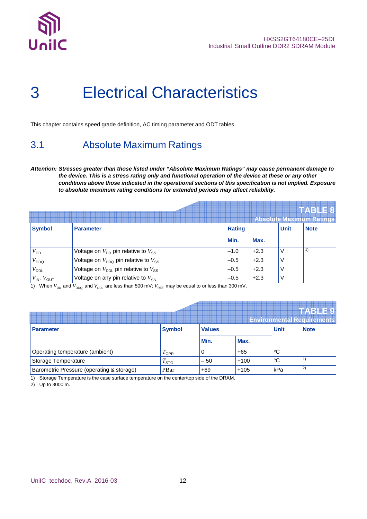

## 3 Electrical Characteristics

This chapter contains speed grade definition, AC timing parameter and ODT tables.

### 3.1 Absolute Maximum Ratings

**Attention: Stresses greater than those listed under "Absolute Maximum Ratings" may cause permanent damage to the device. This is a stress rating only and functional operation of the device at these or any other conditions above those indicated in the operational sections of this specification is not implied. Exposure to absolute maximum rating conditions for extended periods may affect reliability.**

|                      |                                                             |               |        |             | TABLE 8<br><b>Absolute Maximum Ratings</b> |
|----------------------|-------------------------------------------------------------|---------------|--------|-------------|--------------------------------------------|
| <b>Symbol</b>        | <b>Parameter</b>                                            | <b>Rating</b> |        | <b>Unit</b> | <b>Note</b>                                |
|                      |                                                             | Min.          | Max.   |             |                                            |
| $V_{DD}$             | Voltage on $V_{DD}$ pin relative to $V_{SS}$                | $-1.0$        | $+2.3$ |             | 1)                                         |
| $V_{DDQ}$            | Voltage on $V_{DDO}$ pin relative to $V_{SS}$               | $-0.5$        | $+2.3$ |             |                                            |
| $V_{\text{DDL}}$     | Voltage on $V_{\text{DDL}}$ pin relative to $V_{\text{SS}}$ | $-0.5$        | $+2.3$ |             |                                            |
| $V_{IN}$ , $V_{OUT}$ | Voltage on any pin relative to $V_{SS}$                     | $-0.5$        | $+2.3$ |             |                                            |

1) When  $V_{DD}$  and  $V_{DDQ}$  and  $V_{DDL}$  are less than 500 mV;  $V_{REF}$  may be equal to or less than 300 mV.

|                                           |               |                              |        |     | <b>HABLE!</b><br><b>Environmental Requirements</b> |
|-------------------------------------------|---------------|------------------------------|--------|-----|----------------------------------------------------|
| <b>Parameter</b>                          | <b>Symbol</b> | <b>Unit</b><br><b>Values</b> |        |     | <b>Note</b>                                        |
|                                           |               | Min.                         | Max.   |     |                                                    |
| Operating temperature (ambient)           | $1$ OPR       | 0                            | $+65$  | ℃   |                                                    |
| Storage Temperature                       | $1$ STG       | $-50$                        | $+100$ | °C  |                                                    |
| Barometric Pressure (operating & storage) | PBar          | +69                          | $+105$ | kPa | $\mathbf{2}$                                       |

1) Storage Temperature is the case surface temperature on the center/top side of the DRAM.

2) Up to 3000 m.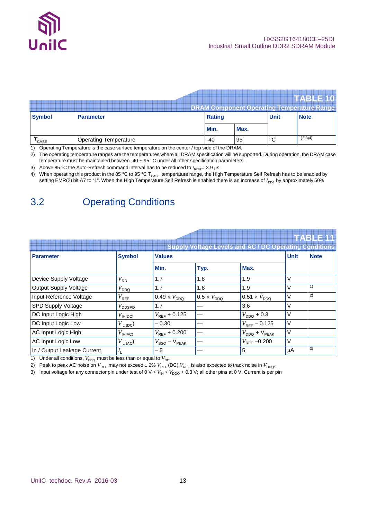

|                   |                                                                                               |               |      |             | <b>TTABLE 10</b><br><b>DRAM Component Operating Temperature Range</b> |  |  |
|-------------------|-----------------------------------------------------------------------------------------------|---------------|------|-------------|-----------------------------------------------------------------------|--|--|
| <b>Symbol</b>     | <b>Parameter</b>                                                                              | <b>Rating</b> |      | <b>Unit</b> | <b>Note</b>                                                           |  |  |
|                   |                                                                                               | Min.          | Max. |             |                                                                       |  |  |
| $I_{\text{CASE}}$ | <b>Operating Temperature</b>                                                                  | -40           | ' 95 | °C          | 1)2)3)4)                                                              |  |  |
|                   | 1) Operating Temperature is the case surface temperature on the center / top side of the DRAM |               |      |             |                                                                       |  |  |

1) Operating Temperature is the case surface temperature on the center / top side of the DRAM.

2) The operating temperature ranges are the temperatures where all DRAM specification will be supported. During operation, the DRAM case temperature must be maintained between -40 ~ 95 °C under all other specification parameters.

3) Above 85 °C the Auto-Refresh command interval has to be reduced to  $t_{\text{per}}= 3.9 \,\mu s$ 

4) When operating this product in the 85 °C to 95 °C T<sub>CASE</sub> temperature range, the High Temperature Self Refresh has to be enabled by setting EMR(2) bit A7 to "1". When the High Temperature Self Refresh is enabled there is an increase of  $I_{DD6}$  by approximately 50%

### 3.2 Operating Conditions

#### **TABLE 11 Supply Voltage Levels and AC / DC Operating Conditions Parameter Symbol Values Unit Note Min. Typ. Max.** Device Supply Voltage  $|V_{DD}|$  1.7  $|1.8|$  1.9  $|V_{DD}|$ Output Supply Voltage  $|V_{DDQ}|$  1.7  $|1.8|$  1.9  $|V|$ 1)  $I$  Input Reference Voltage  $V_{REF}$   $0.49 \times V_{DDQ}$   $0.5 \times V_{DDQ}$   $0.51 \times V_{DDQ}$   $V$ 2) SPD Supply Voltage  $|V_{\text{DOSPD}}|$  1.7  $|-$  3.6  $|V|$ DC Input Logic High  $V_{\text{IH(DC)}}$   $V_{\text{REF}}$  + 0.125  $V_{\text{DDQ}}$  + 0.3  $V$ DC Input Logic Low  $|V_{\text{IL (DC)}}|$  – 0.30  $| |V_{\text{REF}}$  – 0.125  $|V$ AC Input Logic High  $|V_{\text{IH(AC)}}| = |V_{\text{REF}} + 0.200| - |V_{\text{DDQ}} + V_{\text{PEAK}}|$ AC Input Logic Low  $V_{\text{IL (AC)}}$   $V_{SSQ} - V_{PEAK}$   $\left| \begin{array}{ccc} - & & |V_{REF} -0.200 \\ \end{array} \right|$  V In / Output Leakage Current *I*  $\begin{array}{|c|c|c|c|c|}\hline \end{array} \hspace{1.2cm} \begin{array}{|c|c|c|c|}\hline \end{array} \hspace{1.2cm} \begin{array}{|c|c|c|c|}\hline \end{array} \hspace{1.2cm} \begin{array}{|c|c|c|}\hline \end{array} \hspace{1.2cm} \begin{array}{|c|c|c|}\hline \end{array} \hspace{1.2cm} \begin{array}{|c|c|c|}\hline \end{array} \hspace{1.2cm} \begin{array}{|c|c|c|}\hline \end{array} \hspace{1.2cm} \begin{array}{|c|c$ 3)

1) Under all conditions,  $V_{DDQ}$  must be less than or equal to  $V_{DD}$ 

2) Peak to peak AC noise on  $V_{REF}$  may not exceed  $\pm 2\%$   $V_{REF}$  (DC).  $V_{REF}$  is also expected to track noise in  $V_{DDQ}$ .

3) Input voltage for any connector pin under test of  $0 \vee \leq V_{\text{IN}} \leq V_{\text{DDQ}} + 0.3 \vee$ ; all other pins at 0 V. Current is per pin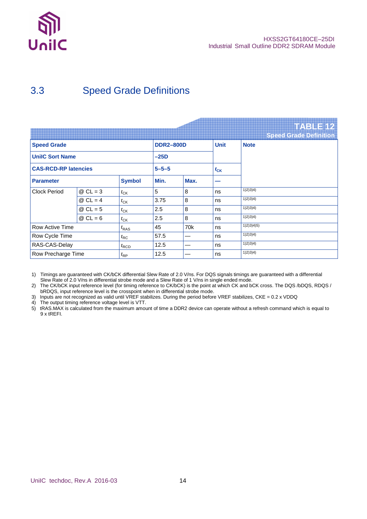

## 3.3 Speed Grade Definitions

|                                |            |                  |                  |                 |             | <b>TABLE 12</b>               |
|--------------------------------|------------|------------------|------------------|-----------------|-------------|-------------------------------|
|                                |            |                  |                  |                 |             | <b>Speed Grade Definition</b> |
| <b>Speed Grade</b>             |            |                  | <b>DDR2-800D</b> |                 | <b>Unit</b> | <b>Note</b>                   |
| <b>UnilC Sort Name</b>         |            |                  | $-25D$           |                 |             |                               |
| <b>CAS-RCD-RP latencies</b>    |            |                  | $5 - 5 - 5$      | $t_{\text{CK}}$ |             |                               |
| <b>Parameter</b>               |            | <b>Symbol</b>    | Min.             | Max.            |             |                               |
| <b>Clock Period</b>            | $@$ CL = 3 | $t_{CK}$         | 5                | 8               | ns          | 1)2)3)4)                      |
|                                | $@$ CL = 4 | $t_{CK}$         | 3.75             | 8               | ns          | 1)2)3)4)                      |
|                                | $@$ CL = 5 | $t_{CK}$         | 2.5              | 8               | ns          | 1)2)3)4)                      |
|                                | $@$ CL = 6 | $t_{CK}$         | 2.5              | 8               | ns          | 1)2)3)4)                      |
| Row Active Time                |            | $t_{\text{RAS}}$ | 45               | 70 <sub>k</sub> | ns          | 1)2)3)4)5)                    |
| Row Cycle Time<br>$t_{\sf RC}$ |            |                  | 57.5             |                 | ns          | 1)2)3)4)                      |
| RAS-CAS-Delay                  |            | $t_{\sf RCD}$    | 12.5             |                 | ns          | 1)2)3)4)                      |
| Row Precharge Time             |            | $t_{\sf RP}$     | 12.5             |                 | ns          | 1)2)3)4)                      |

1) Timings are guaranteed with CK/bCK differential Slew Rate of 2.0 V/ns. For DQS signals timings are guaranteed with a differential Slew Rate of 2.0 V/ns in differential strobe mode and a Slew Rate of 1 V/ns in single ended mode.

2) The CK/bCK input reference level (for timing reference to CK/bCK) is the point at which CK and bCK cross. The DQS /bDQS, RDQS / bRDQS, input reference level is the crosspoint when in differential strobe mode.

3) Inputs are not recognized as valid until VREF stabilizes. During the period before VREF stabilizes, CKE = 0.2 x VDDQ

4) The output timing reference voltage level is VTT.

5) tRAS.MAX is calculated from the maximum amount of time a DDR2 device can operate without a refresh command which is equal to 9 x tREFI.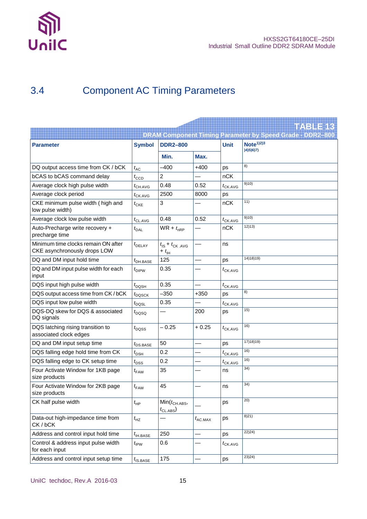

## 3.4 Component AC Timing Parameters

|                                                                     |                                 |                                                         |                   |                     | <b>TABLE 18</b>                                                  |
|---------------------------------------------------------------------|---------------------------------|---------------------------------------------------------|-------------------|---------------------|------------------------------------------------------------------|
|                                                                     |                                 |                                                         |                   |                     | <b>DRAM Component Timing Parameter by Speed Grade - DDR2-800</b> |
| <b>Parameter</b>                                                    | <b>Symbol</b>                   | <b>DDR2-800</b>                                         |                   | <b>Unit</b>         | Note <sup>1</sup> 2 <sup>3</sup>                                 |
|                                                                     |                                 | Min.                                                    | Max.              |                     | (4)5(6)7                                                         |
| DQ output access time from CK / bCK                                 | $t_{AC}$                        | $-400$                                                  | $+400$            | ps                  | 8)                                                               |
| <b>bCAS</b> to bCAS command delay                                   | $t_{\text{CCD}}$                | 2                                                       |                   | nCK                 |                                                                  |
| Average clock high pulse width                                      | $t_{\text{CH}.\text{AVG}}$      | 0.48                                                    | 0.52              | $t_{\text{CK.AVG}}$ | 9)10)                                                            |
| Average clock period                                                | $t_{CK.AVG}$                    | 2500                                                    | 8000              | ps                  |                                                                  |
| CKE minimum pulse width (high and<br>low pulse width)               | $t_{\text{CKE}}$                | 3                                                       |                   | nCK                 | 11)                                                              |
| Average clock low pulse width                                       | $t_{\text{CL}.\text{AVG}}$      | 0.48                                                    | 0.52              | $t_{\text{CK.AVG}}$ | 9)10)                                                            |
| Auto-Precharge write recovery +<br>precharge time                   | $t_{\text{DAL}}$                | $WR + t_{nRP}$                                          |                   | nCK                 | 12)13)                                                           |
| Minimum time clocks remain ON after<br>CKE asynchronously drops LOW | $t_{\text{DELAY}}$              | $t_{\text{IS}} + t_{\text{CK AVG}}$<br>+ $t_{\text{H}}$ |                   | ns                  |                                                                  |
| DQ and DM input hold time                                           | $t_{\text{DH.BASE}}$            | 125                                                     |                   | ps                  | 14)18)19)                                                        |
| DQ and DM input pulse width for each<br>input                       | $t_{\text{DIPW}}$               | 0.35                                                    |                   | $t_{\text{CK.AVG}}$ |                                                                  |
| DQS input high pulse width                                          | $t_{\text{DQSH}}$               | 0.35                                                    |                   | $t_{\text{CK.AVG}}$ |                                                                  |
| DQS output access time from CK / bCK                                | $t_{\text{DQSCK}}$              | $-350$                                                  | $+350$            | ps                  | 8)                                                               |
| DQS input low pulse width                                           | $t_{\text{DQSL}}$               | 0.35                                                    |                   | $t_{CK.AVG}$        |                                                                  |
| DQS-DQ skew for DQS & associated<br>DQ signals                      | $t_{\text{DOSQ}}$               |                                                         | 200               | ps                  | 15)                                                              |
| DQS latching rising transition to<br>associated clock edges         | $t_{\text{DQSS}}$               | $-0.25$                                                 | $+0.25$           | $t_{CK,AVG}$        | 16)                                                              |
| DQ and DM input setup time                                          | $t_{\text{DS.BASE}}$            | 50                                                      |                   | ps                  | 17) 18) 19)                                                      |
| DQS falling edge hold time from CK                                  | $t_{\text{DSH}}$                | 0.2                                                     |                   | $t_{\text{CK.AVG}}$ | 16)                                                              |
| DQS falling edge to CK setup time                                   | $t_{\text{DSS}}$                | 0.2                                                     |                   | $t_{CK.AVG}$        | 16)                                                              |
| Four Activate Window for 1KB page<br>size products                  | $t_{\text{FAW}}$                | 35                                                      |                   | ns                  | 34)                                                              |
| Four Activate Window for 2KB page<br>size products                  | $t_{\rm FAW}$                   | 45                                                      |                   | ns                  | 34)                                                              |
| CK half pulse width                                                 | $t_{\text{HP}}$                 | $Min(t_{CH.ABS},$<br>$t_{\text{CL.ABS}}$                |                   | ps                  | 20)                                                              |
| Data-out high-impedance time from<br>CK/bCK                         | $t_{\text{HZ}}$                 |                                                         | $t_{\rm AC, MAX}$ | ps                  | 8)21)                                                            |
| Address and control input hold time                                 | $t_{\mathsf{IH}.\mathsf{BASE}}$ | 250                                                     |                   | ps                  | 22)24)                                                           |
| Control & address input pulse width<br>for each input               | $t_{IPW}$                       | 0.6                                                     |                   | $t_{CK.AVG}$        |                                                                  |
| Address and control input setup time                                | $t_{\text{IS.BASE}}$            | 175                                                     |                   | ps                  | 23)24)                                                           |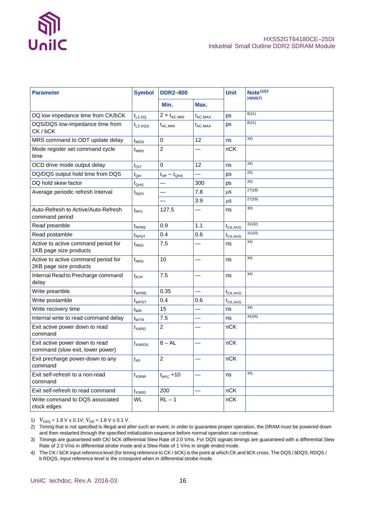

| <b>Parameter</b>                                                   | <b>Symbol</b>       | <b>DDR2-800</b>                  |                   |                     |         | <b>Unit</b> | Note <sup>1</sup> 2 <sup>3</sup><br>(4)5(6)7 |  |
|--------------------------------------------------------------------|---------------------|----------------------------------|-------------------|---------------------|---------|-------------|----------------------------------------------|--|
|                                                                    |                     | Min.                             | Max.              |                     |         |             |                                              |  |
| DQ low impedance time from CK/bCK                                  | $t_{\text{LZ,}DQ}$  | 2 $\times$ $t_{\rm AC. MIN}$     | $t_{\rm AC, MAX}$ | ps                  | 8)21)   |             |                                              |  |
| DQS/DQS low-impedance time from<br>CK/bCK                          | $t_{\text{LZ,DQS}}$ | $t_{\text{AC}}$ MIN              | $t_{\rm AC, MAX}$ | ps                  | 8)21)   |             |                                              |  |
| MRS command to ODT update delay                                    | $t_{\text{MOD}}$    | 0                                | 12                | ns                  | 34)     |             |                                              |  |
| Mode register set command cycle<br>time                            | $t_{\mathsf{MRD}}$  | $\overline{2}$                   |                   | nCK                 |         |             |                                              |  |
| OCD drive mode output delay                                        | $t_{\text{OIT}}$    | 0                                | 12                | ns                  | 34)     |             |                                              |  |
| DQ/DQS output hold time from DQS                                   | $t_{\text{QH}}$     | $t_{\text{HP}} - t_{\text{QHS}}$ |                   | ps                  | 25)     |             |                                              |  |
| DQ hold skew factor                                                | $t_{\text{QHS}}$    |                                  | 300               | ps                  | 26)     |             |                                              |  |
| Average periodic refresh Interval                                  | $t_{\sf REFI}$      |                                  | 7.8               | μS                  | 27)28   |             |                                              |  |
|                                                                    |                     |                                  | 3.9               | μS                  | 27) 29) |             |                                              |  |
| Auto-Refresh to Active/Auto-Refresh<br>command period              | $t_{\text{RFC}}$    | 127.5                            |                   | ns                  | 30)     |             |                                              |  |
| Read preamble                                                      | $t_{RPRE}$          | 0.9                              | 1.1               | $t_{\text{CK.AVG}}$ | 31)32)  |             |                                              |  |
| Read postamble                                                     | $t_{\sf R\sf{PST}}$ | 0.4                              | 0.6               | $t_{\text{CK.AVG}}$ | 31)33)  |             |                                              |  |
| Active to active command period for<br>1KB page size products      | $t_{\sf RRD}$       | 7.5                              |                   | ns                  | 34)     |             |                                              |  |
| Active to active command period for<br>2KB page size products      | $t_{\sf RRD}$       | 10                               |                   | ns                  | 34)     |             |                                              |  |
| Internal Read to Precharge command<br>delay                        | $t_{\sf RTP}$       | 7.5                              |                   | ns                  | 34)     |             |                                              |  |
| Write preamble                                                     | $t_{\text{WPRE}}$   | 0.35                             |                   | $t_{CK.AVG}$        |         |             |                                              |  |
| Write postamble                                                    | $t_{\text{WPST}}$   | 0.4                              | 0.6               | $t_{\text{CK.AVG}}$ |         |             |                                              |  |
| Write recovery time                                                | $t_{\text{WR}}$     | 15                               |                   | ns                  | 34)     |             |                                              |  |
| Internal write to read command delay                               | $t_{\text{WTR}}$    | 7.5                              |                   | ns                  | 34)35)  |             |                                              |  |
| Exit active power down to read<br>command                          | $t_{\mathsf{XARD}}$ | $\overline{c}$                   |                   | nCK                 |         |             |                                              |  |
| Exit active power down to read<br>command (slow exit, lower power) | $t_{\text{XARDS}}$  | $8 - AL$                         |                   | nCK                 |         |             |                                              |  |
| Exit precharge power-down to any<br>command                        | $t_{\sf XP}$        | 2                                |                   | nCK                 |         |             |                                              |  |
| Exit self-refresh to a non-read<br>command                         | $t_{\sf XSNR}$      | $t_{\text{RFC}}$ +10             |                   | ns                  | 34)     |             |                                              |  |
| Exit self-refresh to read command                                  | $t_{\sf XSRD}$      | 200                              |                   | nCK                 |         |             |                                              |  |
| Write command to DQS associated<br>clock edges                     | <b>WL</b>           | $RL - 1$                         |                   | nCK                 |         |             |                                              |  |

1)  $V_{DDQ} = 1.8 \text{ V} \pm 0.1 \text{ V}$ ;  $V_{DD} = 1.8 \text{ V} \pm 0.1 \text{ V}$ .

2) Timing that is not specified is illegal and after such an event, in order to guarantee proper operation, the DRAM must be powered down and then restarted through the specified initialization sequence before normal operation can continue.

3) Timings are guaranteed with CK/ bCK differential Slew Rate of 2.0 V/ns. For DQS signals timings are guaranteed with a differential Slew Rate of 2.0 V/ns in differential strobe mode and a Slew Rate of 1 V/ns in single ended mode.

4) The CK / bCK input reference level (for timing reference to CK / bCK) is the point at which CK and bCK cross. The DQS / bDQS, RDQS / b RDQS, input reference level is the crosspoint when in differential strobe mode.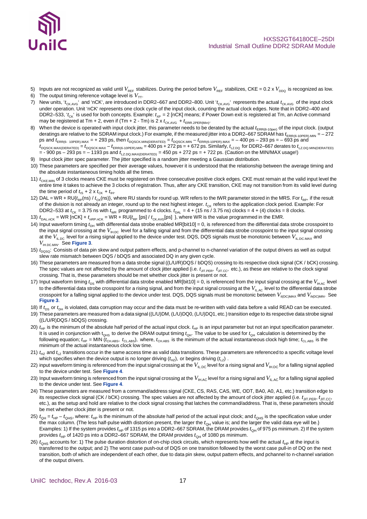

#### HXSS2GT64180CE–25DI Industrial Small Outline DDR2 SDRAM Module

- 5) Inputs are not recognized as valid until  $V_{\text{REF}}$  stabilizes. During the period before  $V_{\text{REF}}$  stabilizes, CKE = 0.2 x  $V_{\text{DDQ}}$  is recognized as low.
- 6) The output timing reference voltage level is  $V_{TT}$ .
- 7) New units, 't<sub>CKAVG</sub>' and 'nCK', are introduced in DDR2–667 and DDR2–800. Unit 't<sub>CKAVG</sub>' represents the actual t<sub>CKAVG</sub> of the input clock under operation. Unit 'nCK' represents one clock cycle of the input clock, counting the actual clock edges. Note that in DDR2–400 and DDR2–533, 't<sub>CK</sub>' is used for both concepts. Example: t<sub>XP</sub> = 2 [nCK] means; if Power Down exit is registered at Tm, an Active command may be registered at Tm + 2, even if (Tm + 2 - Tm) is 2 x  $t_{CK,AVG} + t_{ERR,2PER(Min)}$ .
- 8) When the device is operated with input clock jitter, this parameter needs to be derated by the actual  $t_{\text{ERR}(6-10\text{per})}$  of the input clock. (output deratings are relative to the SDRAM input clock.) For example, if the measured jitter into a DDR2–667 SDRAM has  $t_{\sf ERR(6-10PER).MIN}$  =  $-$  272  $p s$  and  $t_{\text{ERR}(6-10PER), MAX}$  = + 293 ps, then  $t_{\text{DQSCK.MIN(DERATED)}}$  =  $t_{\text{DQSCK.MIN}} - t_{\text{ERR}(6-10PER), MAX}$  = - 400 ps – 293 ps = – 693 ps and  $t$ <sub>DQSCK.MAX(DERATED)</sub> =  $t$ <sub>DQSCK.MAX</sub> –  $t$ <sub>ERR(6-10PER).MIN</sub> =  $400$  ps + 272 ps = + 672 ps. Similarly,  $t$ <sub>LZ.DQ</sub> for DDR2–667 derates to  $t$ <sub>LZ.DQ.MIN(DERATED)</sub>  $=$  - 900 ps – 293 ps = – 1193 ps and  $t_{\text{LZ-DO, MAX(DEFATED)}}$  = 450 ps + 272 ps = + 722 ps. (Caution on the MIN/MAX usage!)
- 9) Input clock jitter spec parameter. The jitter specified is a random jitter meeting a Gaussian distribution.
- 10) These parameters are specified per their average values, however it is understood that the relationship between the average timing and the absolute instantaneous timing holds all the times.
- 11)  $t_{CKE MIN}$  of 3 clocks means CKE must be registered on three consecutive positive clock edges. CKE must remain at the valid input level the entire time it takes to achieve the 3 clocks of registration. Thus, after any CKE transition, CKE may not transition from its valid level during the time period of  $t_{\text{IS}} + 2 \times t_{\text{CK}} + t_{\text{IH}}$ .
- 12) DAL = WR + RU{ $t_{RP}$ (ns) /  $t_{CK}$ (ns)}, where RU stands for round up. WR refers to the tWR parameter stored in the MRS. For  $t_{RP}$ , if the result of the division is not already an integer, round up to the next highest integer.  $t_{CK}$  refers to the application clock period. Example: For DDR2–533 at  $t_{CK}$  = 3.75 ns with  $t_{WR}$  programmed to 4 clocks.  $t_{DAL}$  = 4 + (15 ns / 3.75 ns) clocks = 4 + (4) clocks = 8 clocks.
- 13)  $t_{\text{DAL,ACK}}$  = WR [nCK] +  $t_{\text{nRP,nCK}}$  = WR + RU{ $t_{\text{RP}}$  [ps] /  $t_{\text{CK,AVG}}$ [ps] }, where WR is the value programmed in the EMR.
- 14) Input waveform timing  $t_{\text{DH}}$  with differential data strobe enabled MR[bit10] = 0, is referenced from the differential data strobe crosspoint to the input signal crossing at the  $V_{\text{H,DC}}$  level for a falling signal and from the differential data strobe crosspoint to the input signal crossing at the  $V_{\text{ILDC}}$  level for a rising signal applied to the device under test. DQS, DQS signals must be monotonic between  $V_{\text{ILDC MAX}}$  and *V*IH.DC.MIN. See **Figure 3**.
- 15)  $t_{\text{DOSG}}$ : Consists of data pin skew and output pattern effects, and p-channel to n-channel variation of the output drivers as well as output slew rate mismatch between DQS / bDQS and associated DQ in any given cycle.
- 16) These parameters are measured from a data strobe signal ((L/U/R)DQS / bDQS) crossing to its respective clock signal (CK / bCK) crossing. The spec values are not affected by the amount of clock jitter applied (i.e.  $t_{\text{JIT,PER}}$ ,  $t_{\text{JIT,CC}}$ , etc.), as these are relative to the clock signal crossing. That is, these parameters should be met whether clock jitter is present or not.
- 17) Input waveform timing  $t_{DS}$  with differential data strobe enabled MR[bit10] = 0, is referenced from the input signal crossing at the  $V_{\text{IHAC}}$  level to the differential data strobe crosspoint for a rising signal, and from the input signal crossing at the  $V_{\parallel\ \text{AC}}$  level to the differential data strobe crosspoint for a falling signal applied to the device under test. DQS, DQS signals must be monotonic between  $V_{\text{ii/DCMAX}}$  and  $V_{\text{bi/DCMMN}}$ . See **Figure 3**.
- 18) If  $t_{DS}$  or  $t_{DH}$  is violated, data corruption may occur and the data must be re-written with valid data before a valid READ can be executed.
- 19) These parameters are measured from a data signal ((L/U)DM, (L/U)DQ0, (L/U)DQ1, etc.) transition edge to its respective data strobe signal ((L/U/R)DQS / bDQS) crossing.
- 20)  $t_{HP}$  is the minimum of the absolute half period of the actual input clock.  $t_{HP}$  is an input parameter but not an input specification parameter. It is used in conjunction with  $t_{OHS}$  to derive the DRAM output timing  $t_{OH}$ . The value to be used for  $t_{OH}$  calculation is determined by the following equation;  $t_{HP}$  = MIN ( $t_{CH,ABS}$ ,  $t_{CL,ABS}$ ), where,  $t_{CH,ABS}$  is the minimum of the actual instantaneous clock high time;  $t_{CL,ABS}$  is the minimum of the actual instantaneous clock low time.
- 21)  $t_{HZ}$  and  $t_{LZ}$  transitions occur in the same access time as valid data transitions. These parameters are referenced to a specific voltage level which specifies when the device output is no longer driving  $(t_{HZ})$ , or begins driving  $(t_{LZ})$ .
- 22) input waveform timing is referenced from the input signal crossing at the  $V_{\text{lL,DC}}$  level for a rising signal and  $V_{\text{lH,DC}}$  for a falling signal applied to the device under test. See **Figure 4**.
- 23) Input waveform timing is referenced from the input signal crossing at the  $V_{\text{IHAC}}$  level for a rising signal and  $V_{\text{II-AC}}$  for a falling signal applied to the device under test. See **Figure 4**.
- 24) These parameters are measured from a command/address signal (CKE, CS, RAS, CAS, WE, ODT, BA0, A0, A1, etc.) transition edge to its respective clock signal (CK / bCK) crossing. The spec values are not affected by the amount of clock jitter applied (i.e.  $t_{\text{JIT PER}}, t_{\text{JIT CC}}$ , etc.), as the setup and hold are relative to the clock signal crossing that latches the command/address. That is, these parameters should be met whether clock jitter is present or not.
- $25$ )  $t_{\text{OH}} = t_{\text{HP}} t_{\text{OH}}$ , where:  $t_{\text{HP}}$  is the minimum of the absolute half period of the actual input clock; and  $t_{\text{OH}}$ <sub>S</sub> is the specification value under the max column. {The less half-pulse width distortion present, the larger the  $t_{QH}$  value is; and the larger the valid data eye will be.} Examples: 1) If the system provides  $t_{HP}$  of 1315 ps into a DDR2–667 SDRAM, the DRAM provides  $t_{QH}$  of 975 ps minimum. 2) If the system provides  $t_{HP}$  of 1420 ps into a DDR2–667 SDRAM, the DRAM provides  $t_{QH}$  of 1080 ps minimum.
- 26)  $t_{OHS}$  accounts for: 1) The pulse duration distortion of on-chip clock circuits, which represents how well the actual  $t_{HF}$  at the input is transferred to the output; and 2) The worst case push-out of DQS on one transition followed by the worst case pull-in of DQ on the next transition, both of which are independent of each other, due to data pin skew, output pattern effects, and pchannel to n-channel variation of the output drivers.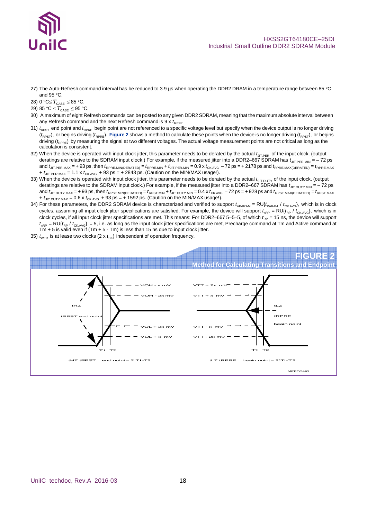

- 27) The Auto-Refresh command interval has be reduced to 3.9 µs when operating the DDR2 DRAM in a temperature range between 85 °C and 95 °C.
- 28) 0 °C $\leq T_{\text{CASE}} \leq 85$  °C.
- 29) 85 °C <  $T_{\text{CASE}} \leq 95$  °C.
- 30) A maximum of eight Refresh commands can be posted to any given DDR2 SDRAM, meaning that the maximum absolute interval between any Refresh command and the next Refresh command is 9 x  $t_{\text{REFI}}$ .
- 31)  $t_{RPST}$  end point and  $t_{RPRE}$  begin point are not referenced to a specific voltage level but specify when the device output is no longer driving  $(t_{\text{ppST}})$ , or begins driving ( $t_{\text{ppST}}$ ). **Figure 2** shows a method to calculate these points when the device is no longer driving ( $t_{\text{ppST}}$ ), or begins driving (*t<sub>RPRE</sub>*) by measuring the signal at two different voltages. The actual voltage measurement points are not critical as long as the calculation is consistent.
- 32) When the device is operated with input clock jitter, this parameter needs to be derated by the actual  $t_{\text{JT,PER}}$  of the input clock. (output deratings are relative to the SDRAM input clock.) For example, if the measured jitter into a DDR2–667 SDRAM has  $t_{\text{JIT.PERMM}} = -72 \text{ ps}$ and  $t_{\text{JIT.PER.MAX}} = +93$  ps, then  $t_{\text{RPRE.MIN(DERATED)}} = t_{\text{RPRE.MIN}} + t_{\text{JIT.PER.MIN}} = 0.9$  x  $t_{\text{CKAVG}} - 72$  ps = + 2178 ps and  $t_{\text{RPRE.MAX(DERATED)}} = t_{\text{RPRE.MAX}}$  $+ t_{\text{JIT-PER MAX}} = 1.1 \times t_{\text{CKANG}} + 93 \text{ ps} = +2843 \text{ ps}$ . (Caution on the MIN/MAX usage!).
- 33) When the device is operated with input clock jitter, this parameter needs to be derated by the actual  $t_{\text{JIT.DUTY}}$  of the input clock. (output deratings are relative to the SDRAM input clock.) For example, if the measured jitter into a DDR2–667 SDRAM has  $t_{\text{JIT.DUTY.MIN}} = -72 \text{ ps}$ and  $t_{\text{JIT.DUTY.MAX}}$  = + 93 ps, then  $t_{\text{RPST.MIN(DEFATED)}}$  =  $t_{\text{RPST.MIN}} + t_{\text{JIT.DUTY. MIN}}$  = 0.4 x  $t_{\text{CKAVG}}$  - 72 ps = + 928 ps and  $t_{\text{RPST.MAX(DEFATED)}}$  =  $t_{\text{RPST. MAX}}$  $+ t_{\text{JIT.DUTY. MAX}} = 0.6 \times t_{\text{CK. AVG}} + 93 \text{ ps} = + 1592 \text{ ps}.$  (Caution on the MIN/MAX usage!).
- 34) For these parameters, the DDR2 SDRAM device is characterized and verified to support  $t_{\sf nPARAM} = \sf{RU}(t_{\sf{PARAM}} / t_{\sf{CKANG}})$ , which is in clock cycles, assuming all input clock jitter specifications are satisfied. For example, the device will support  $t_{nRP} = R U(t_{RP} / t_{CKAVG})$ , which is in clock cycles, if all input clock jitter specifications are met. This means: For DDR2–667 5–5–5, of which  $t_{\text{RP}} = 15$  ns, the device will support  $t_{nRP}$  = RU{ $t_{RP}$  /  $t_{CKAVG}$ } = 5, i.e. as long as the input clock jitter specifications are met, Precharge command at Tm and Active command at  $Tm + 5$  is valid even if (Tm  $+ 5 - Tm$ ) is less than 15 ns due to input clock jitter.
- 35)  $t_{\text{WTR}}$  is at lease two clocks (2 x  $t_{\text{CK}}$ ) independent of operation frequency.

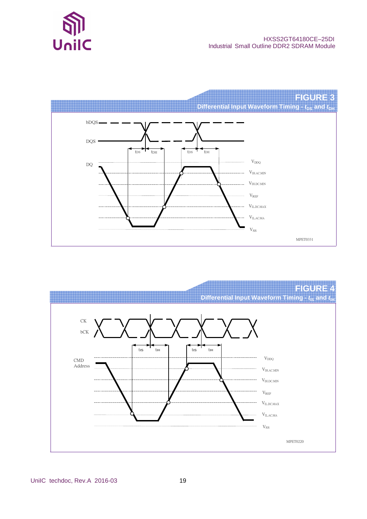



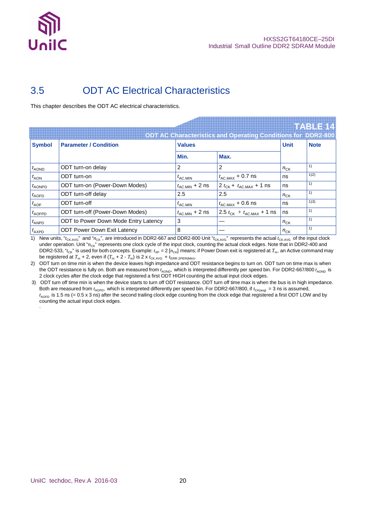![](_page_19_Picture_0.jpeg)

## 3.5 ODT AC Electrical Characteristics

This chapter describes the ODT AC electrical characteristics.

|                  |                                      |                            | <b>ODT AC Characteristics and Operating Conditions for DDR2-800</b> |             | <b>HABLE 14</b> |
|------------------|--------------------------------------|----------------------------|---------------------------------------------------------------------|-------------|-----------------|
| <b>Symbol</b>    | <b>Parameter / Condition</b>         | <b>Values</b>              |                                                                     | <b>Unit</b> | <b>Note</b>     |
|                  |                                      | Min.                       | Max.                                                                |             |                 |
| $t_{\sf AOND}$   | ODT turn-on delay                    | 2                          | 2                                                                   | $n_{CK}$    | 1)              |
| $t_{\text{AON}}$ | ODT turn-on                          | $t_{\text{AC}}$ MIN        | $t_{\text{AC.MAX}} + 0.7$ ns                                        | ns          | 1)2)            |
| $t_{\sf AONPD}$  | ODT turn-on (Power-Down Modes)       | $t_{\rm AC,MIN}$ + 2 ns    | $2 t_{CK} + t_{AC,MAX} + 1$ ns                                      | ns          | 1)              |
| $t_{\sf AOFD}$   | ODT turn-off delay                   | 2.5                        | 2.5                                                                 | $n_{CK}$    | 1)              |
| $t_{\text{AOF}}$ | ODT turn-off                         | $t_{\sf AC. MIN}$          | $t_{\text{AC.MAX}} + 0.6$ ns                                        | ns          | 1)3)            |
| $t_{\sf AOFPD}$  | ODT turn-off (Power-Down Modes)      | $t_{\text{AC.MIN}} + 2$ ns | 2.5 $t_{CK}$ + $t_{AC,MAX}$ + 1 ns                                  | ns          | 1)              |
| $t_{\sf ANDD}$   | ODT to Power Down Mode Entry Latency | 3                          |                                                                     | $n_{CK}$    | 1)              |
| $t_{\sf AXPD}$   | <b>ODT Power Down Exit Latency</b>   | 8                          |                                                                     | $n_{CK}$    | 1)              |

1) New units, "*t*<sub>CK.AVG</sub>" and " $n_{CK}$ ", are introduced in DDR2-667 and DDR2-800 Unit "*t*<sub>CK.AVG</sub>" represents the actual *t*<sub>CK.AVG</sub> of the input clock under operation. Unit "n<sub>CK</sub>" represents one clock cycle of the input clock, counting the actual clock edges. Note that in DDR2-400 and DDR2-533, " $t_{CK}$ " is used for both concepts. Example:  $t_{XP} = 2 [n_{CK}]$  means; if Power Down exit is registered at  $T_m$ , an Active command may be registered at  $T_m + 2$ , even if  $(T_m + 2 - T_m)$  is 2 x  $t_{CK,avg} + t_{ER.2PER(Min)}$ .

2) ODT turn on time min is when the device leaves high impedance and ODT resistance begins to turn on. ODT turn on time max is when the ODT resistance is fully on. Both are measured from  $t_{\rm AOND}$ , which is interpreted differently per speed bin. For DDR2-667/800  $t_{\rm AOND}}$  is 2 clock cycles after the clock edge that registered a first ODT HIGH counting the actual input clock edges.

3) ODT turn off time min is when the device starts to turn off ODT resistance. ODT turn off time max is when the bus is in high impedance. Both are measured from  $t_{AOFD}$ , which is interpreted differently per speed bin. For DDR2-667/800, if  $t_{CK(\text{avg})} = 3$  ns is assumed,  $t_{AOFD}$  is 1.5 ns (= 0.5 x 3 ns) after the second trailing clock edge counting from the clock edge that registered a first ODT LOW and by counting the actual input clock edges. .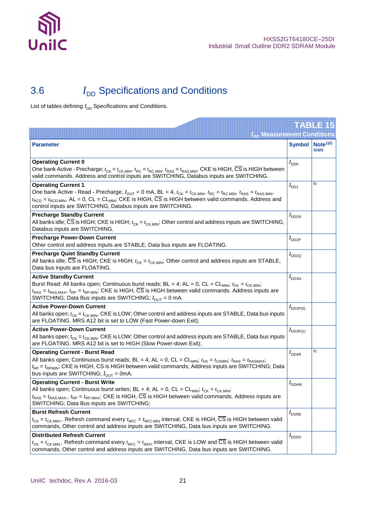![](_page_20_Picture_0.jpeg)

## 3.6 *I*<sub>DD</sub> Specifications and Conditions

List of tables defining  $I_{DD}$  Specifications and Conditions.

|                                                                                                                                                                                                                                                                                                                                                                                                                                                 |                      | TAB 1745                      |
|-------------------------------------------------------------------------------------------------------------------------------------------------------------------------------------------------------------------------------------------------------------------------------------------------------------------------------------------------------------------------------------------------------------------------------------------------|----------------------|-------------------------------|
| $I_{\text{DD}}$ Measurement Conditions                                                                                                                                                                                                                                                                                                                                                                                                          |                      |                               |
| <b>Parameter</b>                                                                                                                                                                                                                                                                                                                                                                                                                                | <b>Symbol</b>        | Note <sup>1/2</sup><br>3)4)5) |
| <b>Operating Current 0</b><br>One bank Active - Precharge; $t_{CK} = t_{CKMIN}$ , $t_{RC} = t_{RCMIN}$ , $t_{RAS} = t_{RASMIN}$ , CKE is HIGH, $\overline{CS}$ is HIGH between<br>valid commands. Address and control inputs are SWITCHING, Databus inputs are SWITCHING.                                                                                                                                                                       | $I_{DD0}$            |                               |
| <b>Operating Current 1</b><br>One bank Active - Read - Precharge; $I_{\text{OUT}} = 0$ mA, BL = 4, $t_{\text{CK}} = t_{\text{CK,MIN}}$ , $t_{\text{RC}} = t_{\text{RC,MIN}}$ , $t_{\text{RAS}} = t_{\text{RAS,MIN}}$<br>$t_{\text{RCD}} = t_{\text{RCD,MIN}}$ , AL = 0, CL = CL <sub>MIN</sub> ; CKE is HIGH, $\overline{\text{CS}}$ is HIGH between valid commands. Address and<br>control inputs are SWITCHING, Databus inputs are SWITCHING. | $I_{DD1}$            | 6)                            |
| <b>Precharge Standby Current</b><br>All banks idle; $\overline{CS}$ is HIGH; CKE is HIGH; $t_{CK} = t_{CK,MIN}$ ; Other control and address inputs are SWITCHING,<br>Databus inputs are SWITCHING.                                                                                                                                                                                                                                              | $I_{DD2N}$           |                               |
| <b>Precharge Power-Down Current</b><br>Other control and address inputs are STABLE, Data bus inputs are FLOATING.                                                                                                                                                                                                                                                                                                                               | $I_{DD2P}$           |                               |
| <b>Precharge Quiet Standby Current</b><br>All banks idle; $\overline{CS}$ is HIGH; CKE is HIGH; $t_{CK} = t_{CK,MIN}$ ; Other control and address inputs are STABLE,<br>Data bus inputs are FLOATING.                                                                                                                                                                                                                                           | $I_{DD2Q}$           |                               |
| <b>Active Standby Current</b><br>Burst Read: All banks open; Continuous burst reads; BL = 4; AL = 0, CL = CL <sub>MIN</sub> ; $t_{CK} = t_{CKMIN}$ ;<br>$t_{RAS} = t_{RAS, MAX}$ , $t_{RP} = t_{RP, MIN}$ ; CKE is HIGH, $\overline{CS}$ is HIGH between valid commands. Address inputs are<br>SWITCHING; Data Bus inputs are SWITCHING; $I_{\text{OUT}} = 0$ mA.                                                                               | $I_{\rm DD3N}$       |                               |
| <b>Active Power-Down Current</b><br>All banks open; $t_{CK} = t_{CK,MIN}$ , CKE is LOW; Other control and address inputs are STABLE, Data bus inputs<br>are FLOATING. MRS A12 bit is set to LOW (Fast Power-down Exit);                                                                                                                                                                                                                         | $I_{\text{DD3P(0)}}$ |                               |
| <b>Active Power-Down Current</b><br>All banks open; $t_{CK} = t_{CKMIN}$ , CKE is LOW; Other control and address inputs are STABLE, Data bus inputs<br>are FLOATING. MRS A12 bit is set to HIGH (Slow Power-down Exit);                                                                                                                                                                                                                         | $I_{\text{DD3P(1)}}$ |                               |
| <b>Operating Current - Burst Read</b><br>All banks open; Continuous burst reads; BL = 4; AL = 0, CL = CL <sub>MIN</sub> ; $t_{CK} = t_{CKMIN}$ ; $t_{RAS} = t_{RASMAX}$ ;<br>$t_{RP} = t_{RPMIN}$ ; CKE is HIGH, CS is HIGH between valid commands; Address inputs are SWITCHING; Data<br>bus inputs are SWITCHING; $I_{\text{OUT}} = 0 \text{mA}$ .                                                                                            | $I_{\text{DD4R}}$    | 6)                            |
| <b>Operating Current - Burst Write</b><br>All banks open; Continuous burst writes; BL = 4; AL = 0, CL = CL <sub>MIN</sub> ; $t_{CK} = t_{CK,MIN}$ ;<br>$t_{RAS} = t_{RAS, MAX}$ , $t_{RP} = t_{RP, MAX}$ ; CKE is HIGH, $\overline{CS}$ is HIGH between valid commands. Address inputs are<br>SWITCHING; Data Bus inputs are SWITCHING;                                                                                                         | $I_{DD4W}$           |                               |
| <b>Burst Refresh Current</b><br>$t_{CK} = t_{CKMIN}$ , Refresh command every $t_{RFC} = t_{RFCMIN}$ interval, CKE is HIGH, $\overline{CS}$ is HIGH between valid<br>commands, Other control and address inputs are SWITCHING, Data bus inputs are SWITCHING.                                                                                                                                                                                    | $I_{\text{DDB}}$     |                               |
| <b>Distributed Refresh Current</b><br>$t_{CK} = t_{CK,MIN}$ , Refresh command every $t_{RFC} = t_{REF}$ interval, CKE is LOW and $\overline{CS}$ is HIGH between valid<br>commands, Other control and address inputs are SWITCHING, Data bus inputs are SWITCHING.                                                                                                                                                                              | $I_{\text{DD5D}}$    |                               |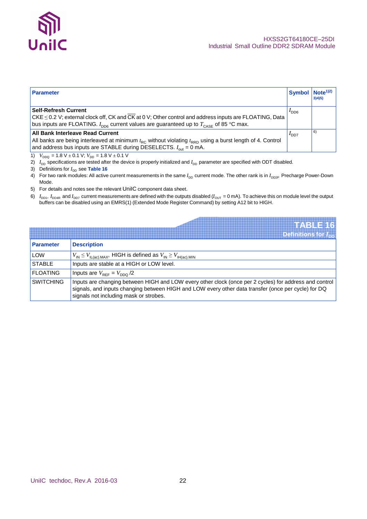![](_page_21_Picture_0.jpeg)

| <b>Parameter</b>                                                                                                                                                                                                                                            |                  | Symbol   Note <sup>1)2)</sup><br>3)4(5) |
|-------------------------------------------------------------------------------------------------------------------------------------------------------------------------------------------------------------------------------------------------------------|------------------|-----------------------------------------|
| <b>Self-Refresh Current</b><br>$CKE \leq 0.2$ V; external clock off, CK and CK at 0 V; Other control and address inputs are FLOATING, Data<br>bus inputs are FLOATING. $I_{\text{DDS}}$ current values are guaranteed up to $T_{\text{CASE}}$ of 85 °C max. | $I_{\text{DD6}}$ |                                         |
| <b>All Bank Interleave Read Current</b><br>All banks are being interleaved at minimum $t_{RC}$ without violating $t_{RRD}$ using a burst length of 4. Control<br>and address bus inputs are STABLE during DESELECTS. $I_{out} = 0$ mA.                      | $I_{DD7}$        | 6)                                      |

1)  $V_{DDQ} = 1.8 \text{ V} \pm 0.1 \text{ V}; V_{DD} = 1.8 \text{ V} \pm 0.1 \text{ V}$ 

- 2) *I*<sub>DD</sub> specifications are tested after the device is properly initialized and *I*<sub>DD</sub> parameter are specified with ODT disabled.
- 3) Definitions for  $I_{DD}$  see **Table 16**
- 4) For two rank modules: All active current measurements in the same  $I_{DD}$  current mode. The other rank is in  $I_{DD2P}$  Precharge Power-Down Mode.
- 5) For details and notes see the relevant UniIC component data sheet.
- $6)$   $I_{\rm DD1}$ ,  $I_{\rm DDAR}$  and  $I_{\rm DD7}$  current measurements are defined with the outputs disabled ( $I_{\rm OUT}$  = 0 mA). To achieve this on module level the output buffers can be disabled using an EMRS(1) (Extended Mode Register Command) by setting A12 bit to HIGH.

|                  | TABLE 16                                                                                                                                                                                                                                                |
|------------------|---------------------------------------------------------------------------------------------------------------------------------------------------------------------------------------------------------------------------------------------------------|
|                  | Definitions for $I_{\text{nn}}$                                                                                                                                                                                                                         |
| <b>Parameter</b> | <b>Description</b>                                                                                                                                                                                                                                      |
| LOW              | $V_{\text{IN}} \leq V_{\text{IL(ac).MAX}}$ , HIGH is defined as $V_{\text{IN}} \geq V_{\text{IH(ac).MIN}}$                                                                                                                                              |
| <b>STABLE</b>    | Inputs are stable at a HIGH or LOW level.                                                                                                                                                                                                               |
| <b>FLOATING</b>  | Inputs are $V_{\text{RFE}} = V_{\text{DDO}}/2$                                                                                                                                                                                                          |
| <b>SWITCHING</b> | Inputs are changing between HIGH and LOW every other clock (once per 2 cycles) for address and control<br>signals, and inputs changing between HIGH and LOW every other data transfer (once per cycle) for DQ<br>signals not including mask or strobes. |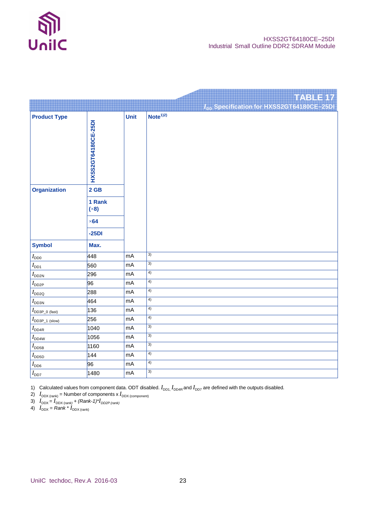![](_page_22_Picture_0.jpeg)

**TABLE 17**

|                                      |                                                                    |             | I <sub>DD</sub> Specification for HXSS2GT64180CE-25DI |
|--------------------------------------|--------------------------------------------------------------------|-------------|-------------------------------------------------------|
| <b>Product Type</b>                  | HXSS2GT64180CE-25DI                                                | <b>Unit</b> | Note <sup>1/2</sup>                                   |
| <b>Organization</b><br><b>Symbol</b> | $2$ GB<br>1 Rank<br>$(\times 8)$<br>$\times$ 64<br>$-25DI$<br>Max. |             |                                                       |
| $I_\mathsf{DD0}$                     | 448                                                                | mA          | 3)                                                    |
| $I_{\mathsf{DD1}}$                   | 560                                                                | mA          | 3)                                                    |
| $I_{\sf DDSN}$                       | 296                                                                | mA          | 4)                                                    |
| $I_{DD2P}$                           | 96                                                                 | mA          | 4)                                                    |
| $I_{\rm DD2Q}$                       | 288                                                                | mA          | $\overline{4)}$                                       |
| $I_{\scriptscriptstyle\rm DDSN}$     | 464                                                                | mA          | $\overline{4)}$                                       |
| $I_{\text{DD3P\_0 (fast)}}$          | 136                                                                | mA          | 4)                                                    |
| $I_{\text{DD3P\_1 (slow)}}$          | 256                                                                | mA          | $\overline{4)}$                                       |
| $I_{\sf DDAR}$                       | 1040                                                               | mA          | 3)                                                    |
| $I_{\rm DD4W}$                       | 1056                                                               | mA          | $\overline{3)}$                                       |
| $I_{\mathsf{DDB}}$                   | 1160                                                               | mA          | 3)                                                    |
| $I_{\mathsf{DD5D}}$                  | 144                                                                | mA          | 4)                                                    |
| $I_{\text{DD6}}$                     | 96                                                                 | mA          | $\overline{4)}$                                       |
| $I_{DD7}$                            | 1480                                                               | $mA$        | $\overline{3)}$                                       |

1) Calculated values from component data. ODT disabled.  $I_{DD1}$ ,  $I_{DD4R}$  and  $I_{DD7}$  are defined with the outputs disabled.

2)  $I_{\text{DDX (rank)}}$  = Number of components x  $I_{\text{DDX (component)}}$ 

3)  $I_{\text{DDX}} = I_{\text{DDX (rank)}} + (Rank - 1)^* I_{\text{DD2P (rank)}}$ 

4)  $I_{\text{DDX}} = Rank * I_{\text{DDX (rank)}}$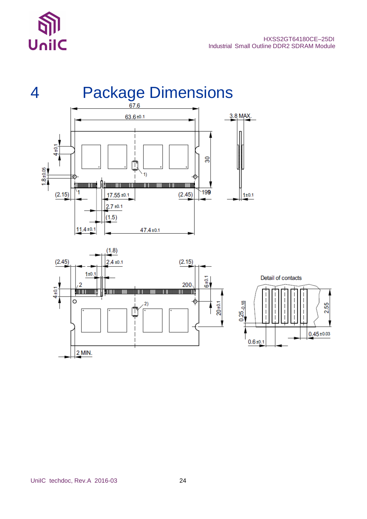![](_page_23_Picture_0.jpeg)

![](_page_23_Figure_2.jpeg)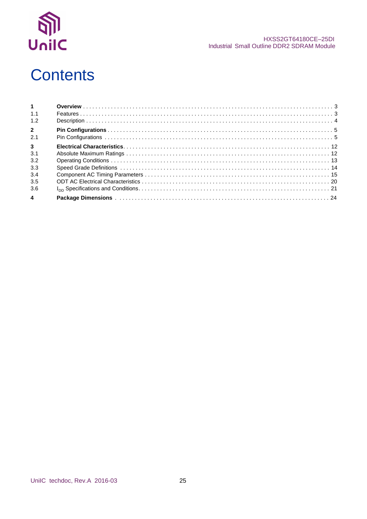![](_page_24_Picture_0.jpeg)

#### HXSS2GT64180CE-25DI Industrial Small Outline DDR2 SDRAM Module

## **Contents**

| 1 <sup>1</sup> |  |
|----------------|--|
| 1.1            |  |
| 1.2            |  |
| $2^{\circ}$    |  |
| 2.1            |  |
| 3 <sup>1</sup> |  |
| 3.1            |  |
| 3.2            |  |
| 3.3            |  |
| 3.4            |  |
| 3.5            |  |
| 3.6            |  |
| $\overline{4}$ |  |